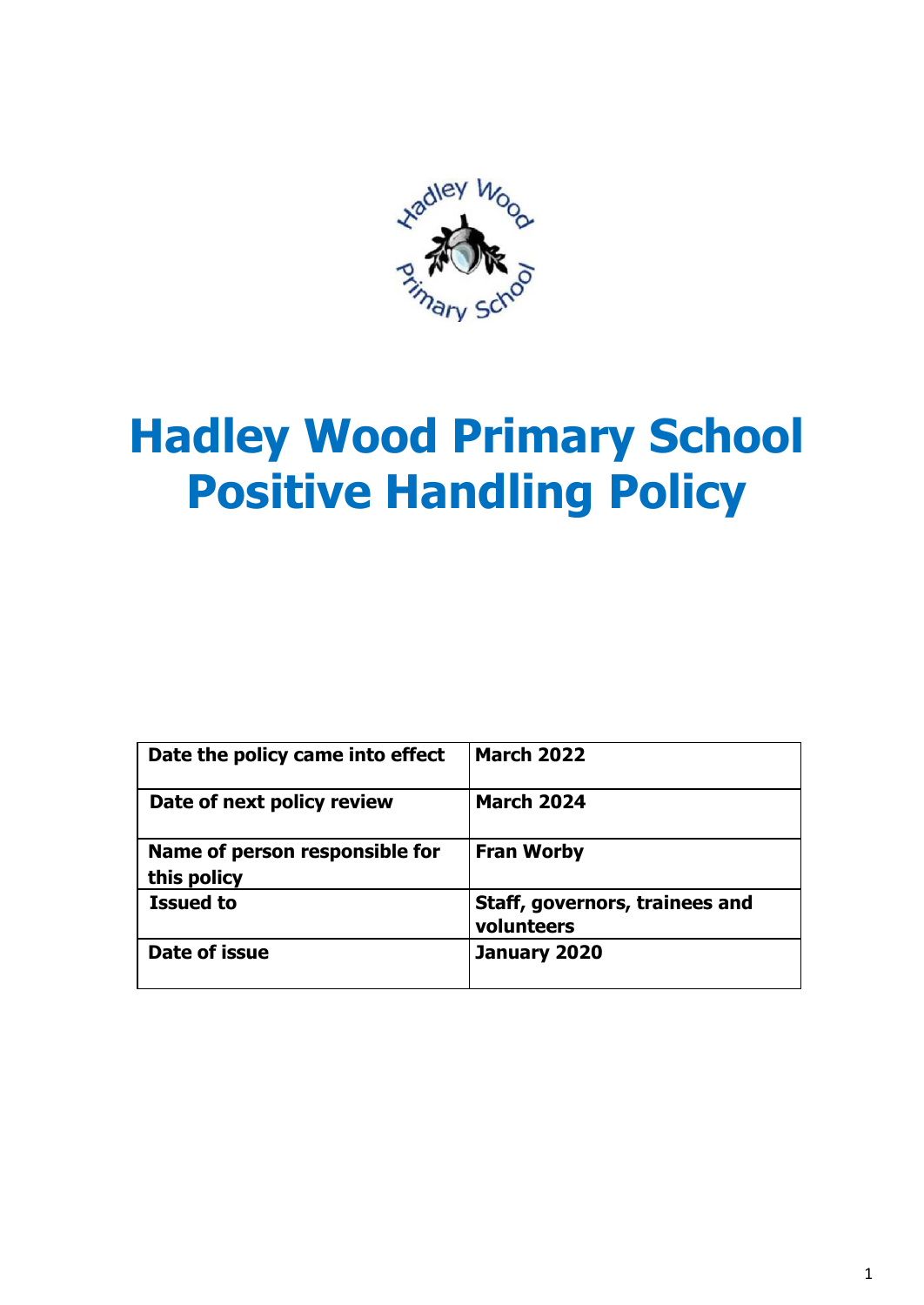

# **Hadley Wood Primary School Positive Handling Policy**

| Date the policy came into effect              | <b>March 2022</b>                            |
|-----------------------------------------------|----------------------------------------------|
| Date of next policy review                    | <b>March 2024</b>                            |
| Name of person responsible for<br>this policy | <b>Fran Worby</b>                            |
| <b>Issued to</b>                              | Staff, governors, trainees and<br>volunteers |
| Date of issue                                 | January 2020                                 |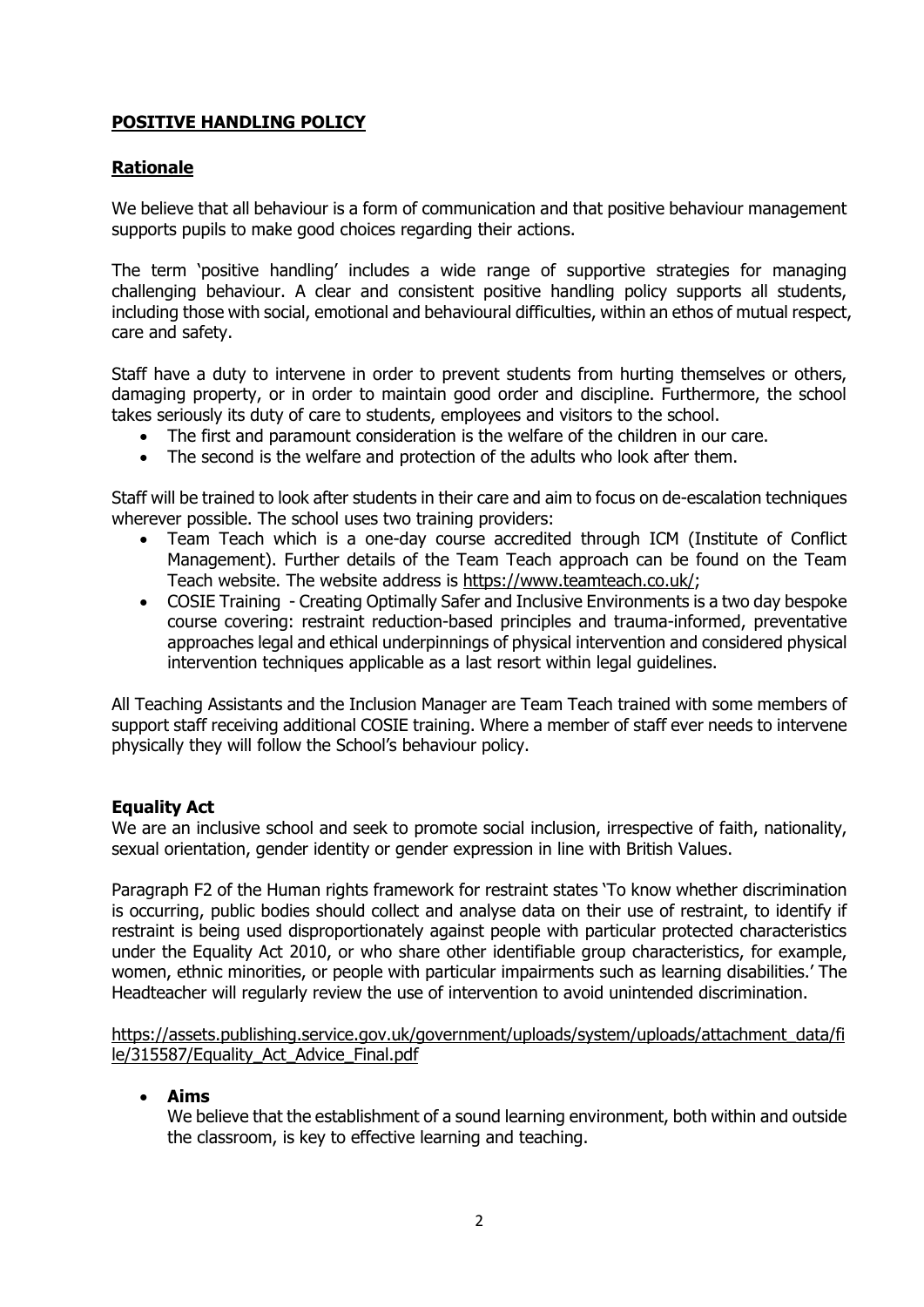## **POSITIVE HANDLING POLICY**

## **Rationale**

We believe that all behaviour is a form of communication and that positive behaviour management supports pupils to make good choices regarding their actions.

The term 'positive handling' includes a wide range of supportive strategies for managing challenging behaviour. A clear and consistent positive handling policy supports all students, including those with social, emotional and behavioural difficulties, within an ethos of mutual respect, care and safety.

Staff have a duty to intervene in order to prevent students from hurting themselves or others, damaging property, or in order to maintain good order and discipline. Furthermore, the school takes seriously its duty of care to students, employees and visitors to the school.

- The first and paramount consideration is the welfare of the children in our care.
- The second is the welfare and protection of the adults who look after them.

Staff will be trained to look after students in their care and aim to focus on de-escalation techniques wherever possible. The school uses two training providers:

- Team Teach which is a one-day course accredited through ICM (Institute of Conflict Management). Further details of the Team Teach approach can be found on the Team Teach website. The website address is [https://www.teamteach.co.uk/;](https://www.teamteach.co.uk/)
- COSIE Training Creating Optimally Safer and Inclusive Environments is a two day bespoke course covering: restraint reduction-based principles and trauma-informed, preventative approaches legal and ethical underpinnings of physical intervention and considered physical intervention techniques applicable as a last resort within legal guidelines.

All Teaching Assistants and the Inclusion Manager are Team Teach trained with some members of support staff receiving additional COSIE training. Where a member of staff ever needs to intervene physically they will follow the School's behaviour policy.

## **Equality Act**

We are an inclusive school and seek to promote social inclusion, irrespective of faith, nationality, sexual orientation, gender identity or gender expression in line with British Values.

Paragraph F2 of the Human rights framework for restraint states 'To know whether discrimination is occurring, public bodies should collect and analyse data on their use of restraint, to identify if restraint is being used disproportionately against people with particular protected characteristics under the Equality Act 2010, or who share other identifiable group characteristics, for example, women, ethnic minorities, or people with particular impairments such as learning disabilities.' The Headteacher will regularly review the use of intervention to avoid unintended discrimination.

[https://assets.publishing.service.gov.uk/government/uploads/system/uploads/attachment\\_data/fi](https://assets.publishing.service.gov.uk/government/uploads/system/uploads/attachment_data/file/315587/Equality_Act_Advice_Final.pdf) [le/315587/Equality\\_Act\\_Advice\\_Final.pdf](https://assets.publishing.service.gov.uk/government/uploads/system/uploads/attachment_data/file/315587/Equality_Act_Advice_Final.pdf)

**Aims**

We believe that the establishment of a sound learning environment, both within and outside the classroom, is key to effective learning and teaching.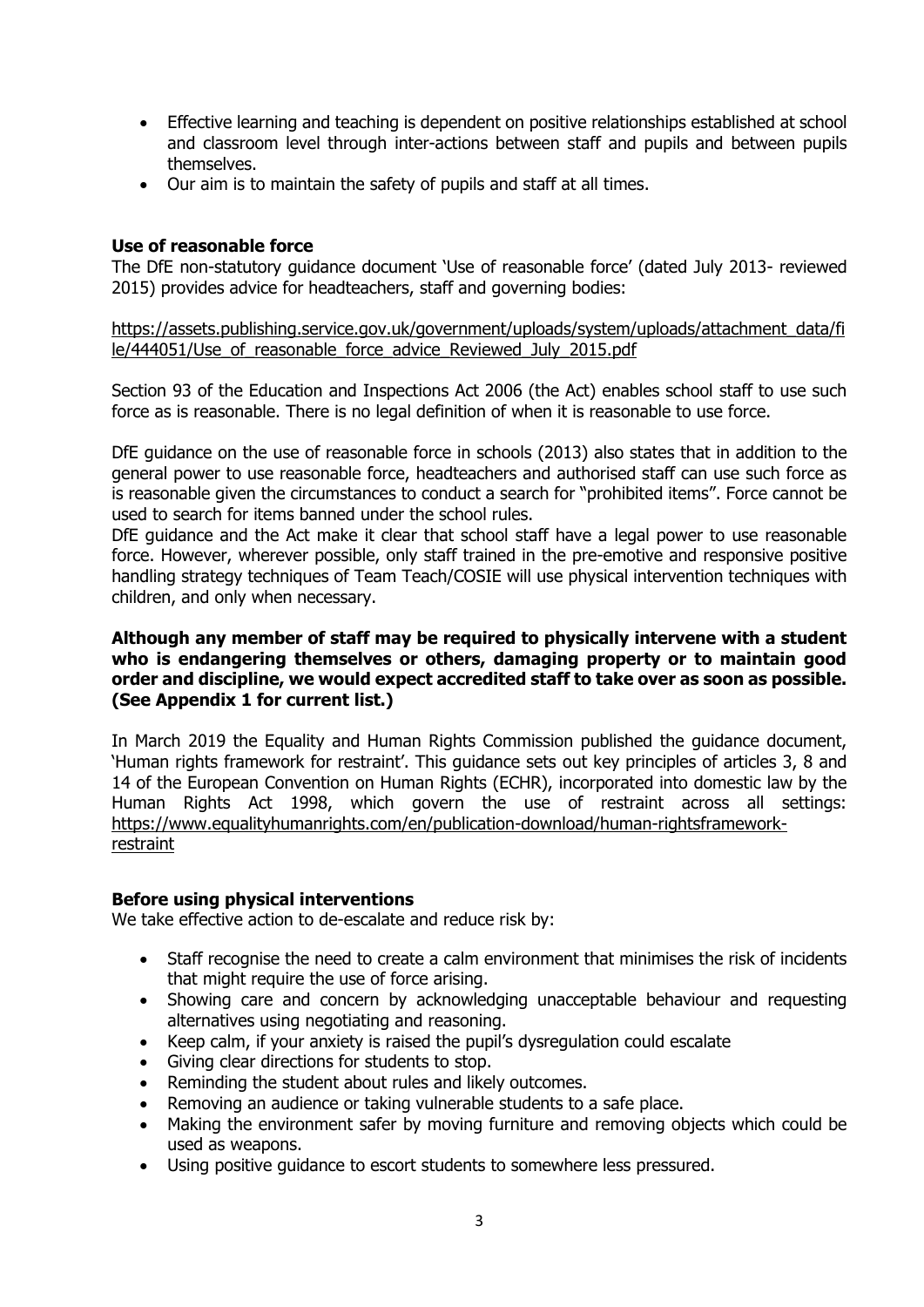- Effective learning and teaching is dependent on positive relationships established at school and classroom level through inter-actions between staff and pupils and between pupils themselves.
- Our aim is to maintain the safety of pupils and staff at all times.

#### **Use of reasonable force**

The DfE non-statutory guidance document 'Use of reasonable force' (dated July 2013- reviewed 2015) provides advice for headteachers, staff and governing bodies:

[https://assets.publishing.service.gov.uk/government/uploads/system/uploads/attachment\\_data/fi](https://assets.publishing.service.gov.uk/government/uploads/system/uploads/attachment_data/file/444051/Use_of_reasonable_force_advice_Reviewed_July_2015.pdf) le/444051/Use of reasonable force advice Reviewed July 2015.pdf

Section 93 of the Education and Inspections Act 2006 (the Act) enables school staff to use such force as is reasonable. There is no legal definition of when it is reasonable to use force.

DfE guidance on the use of reasonable force in schools (2013) also states that in addition to the general power to use reasonable force, headteachers and authorised staff can use such force as is reasonable given the circumstances to conduct a search for "prohibited items". Force cannot be used to search for items banned under the school rules.

DfE guidance and the Act make it clear that school staff have a legal power to use reasonable force. However, wherever possible, only staff trained in the pre-emotive and responsive positive handling strategy techniques of Team Teach/COSIE will use physical intervention techniques with children, and only when necessary.

#### **Although any member of staff may be required to physically intervene with a student who is endangering themselves or others, damaging property or to maintain good order and discipline, we would expect accredited staff to take over as soon as possible. (See Appendix 1 for current list.)**

In March 2019 the Equality and Human Rights Commission published the guidance document, 'Human rights framework for restraint'. This guidance sets out key principles of articles 3, 8 and 14 of the European Convention on Human Rights (ECHR), incorporated into domestic law by the Human Rights Act 1998, which govern the use of restraint across all settings: [https://www.equalityhumanrights.com/en/publication-download/human-rightsframework](https://www.equalityhumanrights.com/en/publication-download/human-rightsframework-restraint)[restraint](https://www.equalityhumanrights.com/en/publication-download/human-rightsframework-restraint)

#### **Before using physical interventions**

We take effective action to de-escalate and reduce risk by:

- Staff recognise the need to create a calm environment that minimises the risk of incidents that might require the use of force arising.
- Showing care and concern by acknowledging unacceptable behaviour and requesting alternatives using negotiating and reasoning.
- Keep calm, if your anxiety is raised the pupil's dysregulation could escalate
- Giving clear directions for students to stop.
- Reminding the student about rules and likely outcomes.
- Removing an audience or taking vulnerable students to a safe place.
- Making the environment safer by moving furniture and removing objects which could be used as weapons.
- Using positive guidance to escort students to somewhere less pressured.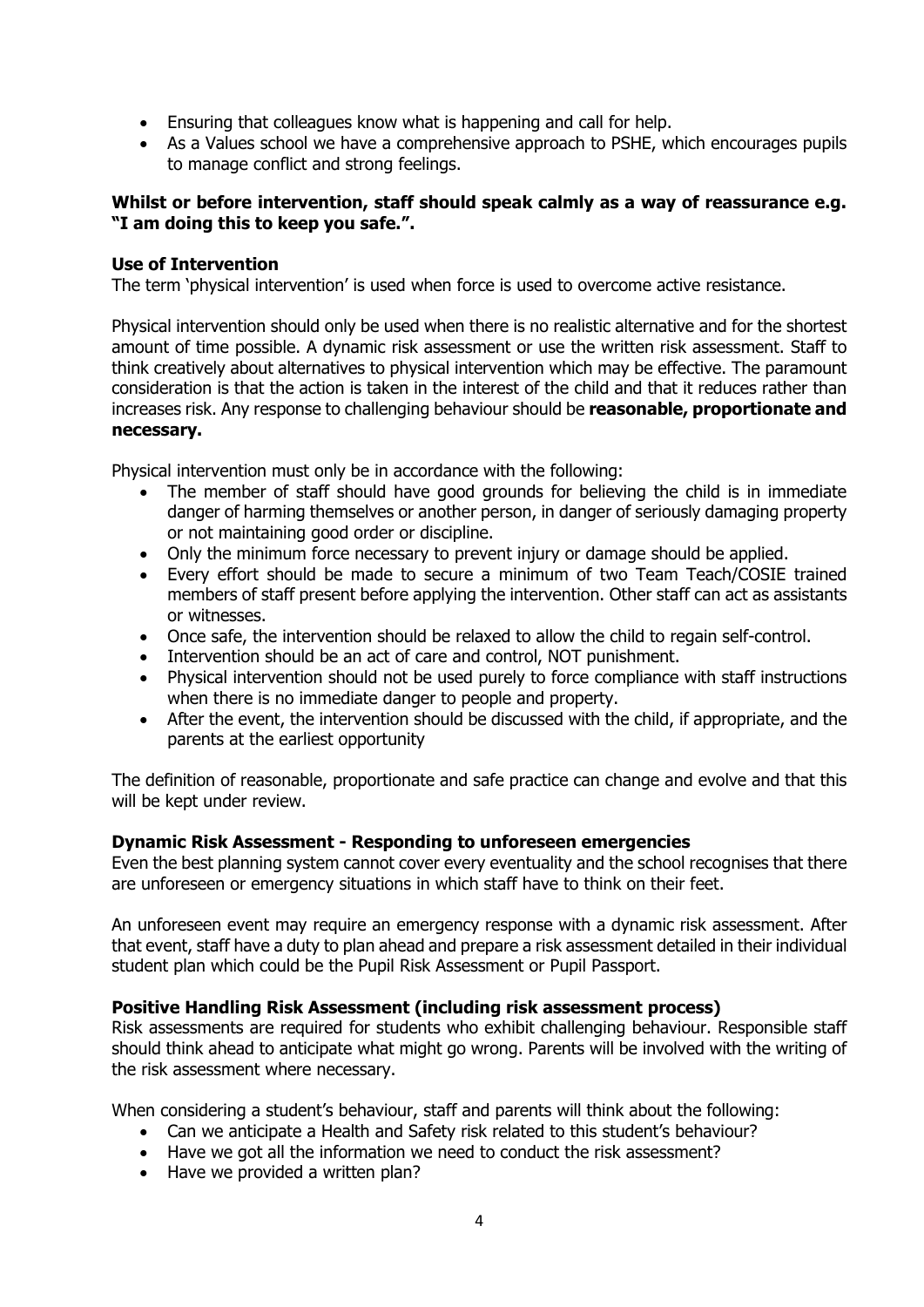- Ensuring that colleagues know what is happening and call for help.
- As a Values school we have a comprehensive approach to PSHE, which encourages pupils to manage conflict and strong feelings.

#### **Whilst or before intervention, staff should speak calmly as a way of reassurance e.g. "I am doing this to keep you safe.".**

#### **Use of Intervention**

The term 'physical intervention' is used when force is used to overcome active resistance.

Physical intervention should only be used when there is no realistic alternative and for the shortest amount of time possible. A dynamic risk assessment or use the written risk assessment. Staff to think creatively about alternatives to physical intervention which may be effective. The paramount consideration is that the action is taken in the interest of the child and that it reduces rather than increases risk. Any response to challenging behaviour should be **reasonable, proportionate and necessary.** 

Physical intervention must only be in accordance with the following:

- The member of staff should have good grounds for believing the child is in immediate danger of harming themselves or another person, in danger of seriously damaging property or not maintaining good order or discipline.
- Only the minimum force necessary to prevent injury or damage should be applied.
- Every effort should be made to secure a minimum of two Team Teach/COSIE trained members of staff present before applying the intervention. Other staff can act as assistants or witnesses.
- Once safe, the intervention should be relaxed to allow the child to regain self-control.
- Intervention should be an act of care and control, NOT punishment.
- Physical intervention should not be used purely to force compliance with staff instructions when there is no immediate danger to people and property.
- After the event, the intervention should be discussed with the child, if appropriate, and the parents at the earliest opportunity

The definition of reasonable, proportionate and safe practice can change and evolve and that this will be kept under review.

#### **Dynamic Risk Assessment - Responding to unforeseen emergencies**

Even the best planning system cannot cover every eventuality and the school recognises that there are unforeseen or emergency situations in which staff have to think on their feet.

An unforeseen event may require an emergency response with a dynamic risk assessment. After that event, staff have a duty to plan ahead and prepare a risk assessment detailed in their individual student plan which could be the Pupil Risk Assessment or Pupil Passport.

#### **Positive Handling Risk Assessment (including risk assessment process)**

Risk assessments are required for students who exhibit challenging behaviour. Responsible staff should think ahead to anticipate what might go wrong. Parents will be involved with the writing of the risk assessment where necessary.

When considering a student's behaviour, staff and parents will think about the following:

- Can we anticipate a Health and Safety risk related to this student's behaviour?
- Have we got all the information we need to conduct the risk assessment?
- Have we provided a written plan?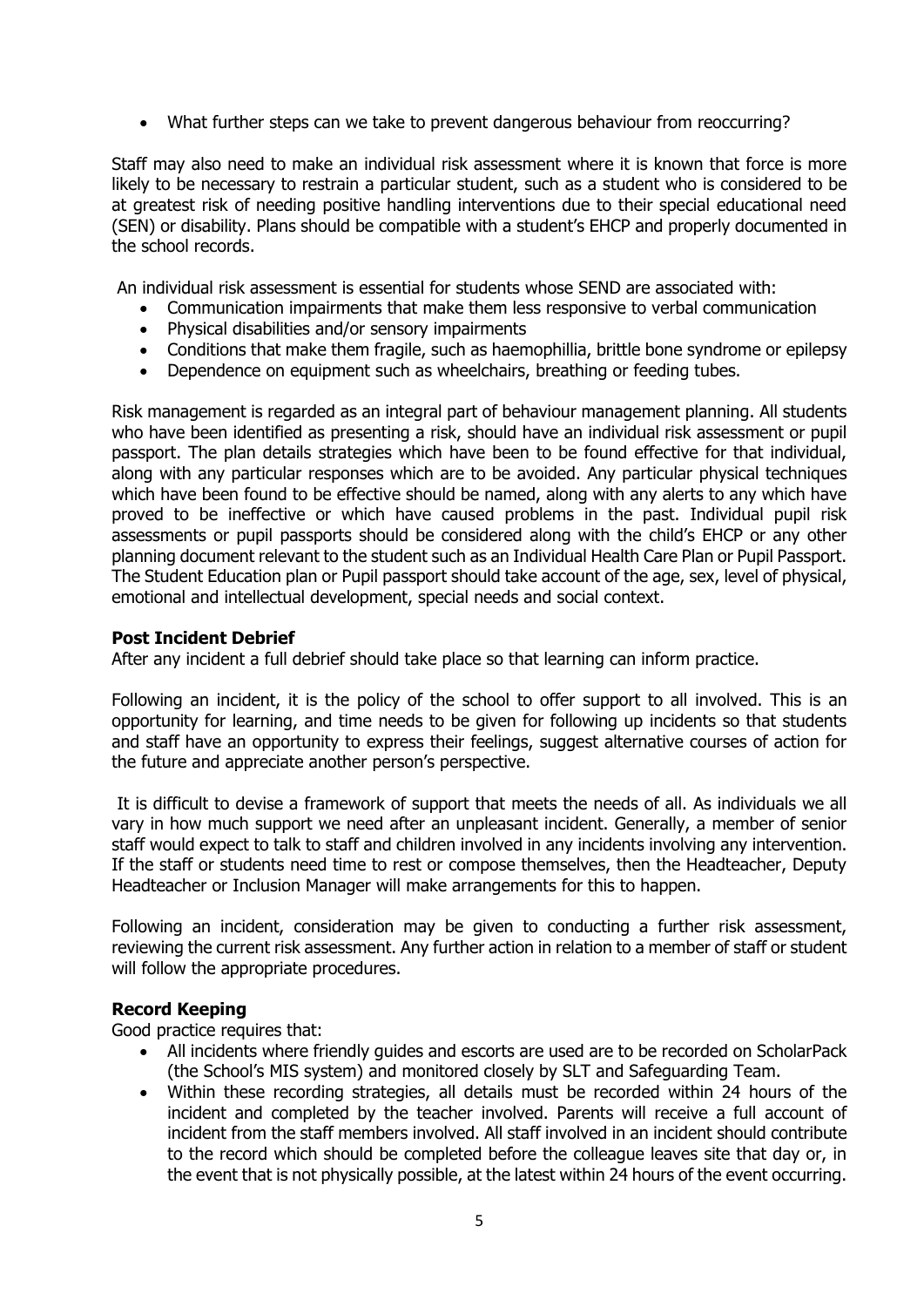What further steps can we take to prevent dangerous behaviour from reoccurring?

Staff may also need to make an individual risk assessment where it is known that force is more likely to be necessary to restrain a particular student, such as a student who is considered to be at greatest risk of needing positive handling interventions due to their special educational need (SEN) or disability. Plans should be compatible with a student's EHCP and properly documented in the school records.

An individual risk assessment is essential for students whose SEND are associated with:

- Communication impairments that make them less responsive to verbal communication
- Physical disabilities and/or sensory impairments
- Conditions that make them fragile, such as haemophillia, brittle bone syndrome or epilepsy
- Dependence on equipment such as wheelchairs, breathing or feeding tubes.

Risk management is regarded as an integral part of behaviour management planning. All students who have been identified as presenting a risk, should have an individual risk assessment or pupil passport. The plan details strategies which have been to be found effective for that individual, along with any particular responses which are to be avoided. Any particular physical techniques which have been found to be effective should be named, along with any alerts to any which have proved to be ineffective or which have caused problems in the past. Individual pupil risk assessments or pupil passports should be considered along with the child's EHCP or any other planning document relevant to the student such as an Individual Health Care Plan or Pupil Passport. The Student Education plan or Pupil passport should take account of the age, sex, level of physical, emotional and intellectual development, special needs and social context.

#### **Post Incident Debrief**

After any incident a full debrief should take place so that learning can inform practice.

Following an incident, it is the policy of the school to offer support to all involved. This is an opportunity for learning, and time needs to be given for following up incidents so that students and staff have an opportunity to express their feelings, suggest alternative courses of action for the future and appreciate another person's perspective.

It is difficult to devise a framework of support that meets the needs of all. As individuals we all vary in how much support we need after an unpleasant incident. Generally, a member of senior staff would expect to talk to staff and children involved in any incidents involving any intervention. If the staff or students need time to rest or compose themselves, then the Headteacher, Deputy Headteacher or Inclusion Manager will make arrangements for this to happen.

Following an incident, consideration may be given to conducting a further risk assessment, reviewing the current risk assessment. Any further action in relation to a member of staff or student will follow the appropriate procedures.

#### **Record Keeping**

Good practice requires that:

- All incidents where friendly guides and escorts are used are to be recorded on ScholarPack (the School's MIS system) and monitored closely by SLT and Safeguarding Team.
- Within these recording strategies, all details must be recorded within 24 hours of the incident and completed by the teacher involved. Parents will receive a full account of incident from the staff members involved. All staff involved in an incident should contribute to the record which should be completed before the colleague leaves site that day or, in the event that is not physically possible, at the latest within 24 hours of the event occurring.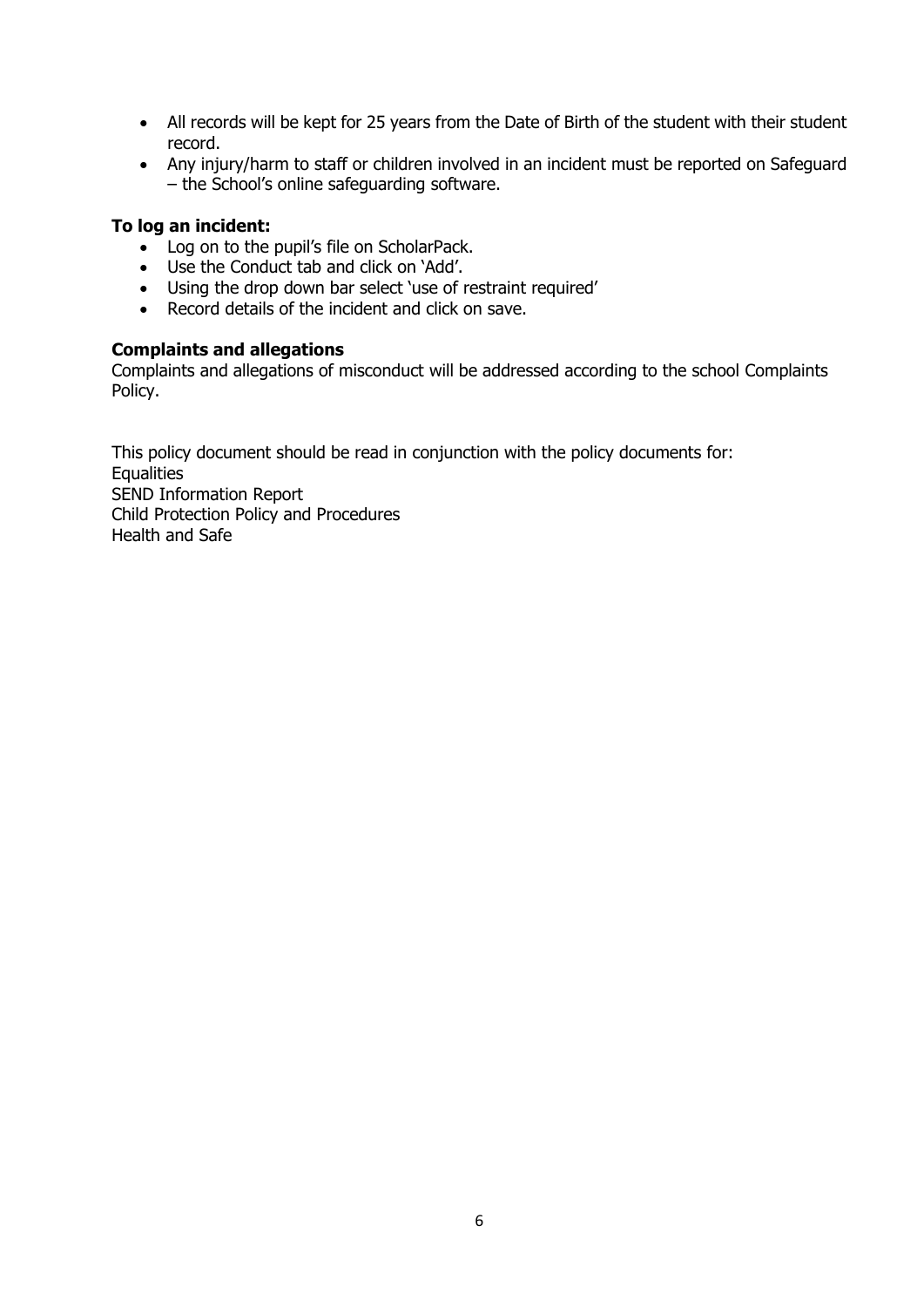- All records will be kept for 25 years from the Date of Birth of the student with their student record.
- Any injury/harm to staff or children involved in an incident must be reported on Safeguard – the School's online safeguarding software.

### **To log an incident:**

- Log on to the pupil's file on ScholarPack.
- Use the Conduct tab and click on 'Add'.
- Using the drop down bar select 'use of restraint required'
- Record details of the incident and click on save.

#### **Complaints and allegations**

Complaints and allegations of misconduct will be addressed according to the school Complaints Policy.

This policy document should be read in conjunction with the policy documents for: **Equalities** SEND Information Report Child Protection Policy and Procedures Health and Safe